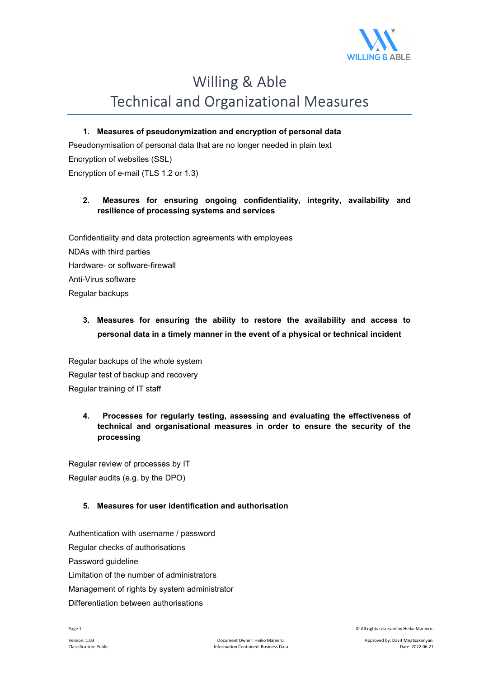

# Willing & Able Technical and Organizational Measures

#### **1. Measures of pseudonymization and encryption of personal data**

Pseudonymisation of personal data that are no longer needed in plain text Encryption of websites (SSL) Encryption of e-mail (TLS 1.2 or 1.3)

#### **2. Measures for ensuring ongoing confidentiality, integrity, availability and resilience of processing systems and services**

Confidentiality and data protection agreements with employees NDAs with third parties Hardware- or software-firewall Anti-Virus software Regular backups

# **3. Measures for ensuring the ability to restore the availability and access to personal data in a timely manner in the event of a physical or technical incident**

Regular backups of the whole system Regular test of backup and recovery Regular training of IT staff

## **4. Processes for regularly testing, assessing and evaluating the effectiveness of technical and organisational measures in order to ensure the security of the processing**

Regular review of processes by IT Regular audits (e.g. by the DPO)

## **5. Measures for user identification and authorisation**

Authentication with username / password Regular checks of authorisations Password guideline Limitation of the number of administrators Management of rights by system administrator Differentiation between authorisations

Page 1 © All rights reserved by Heiko Maniero.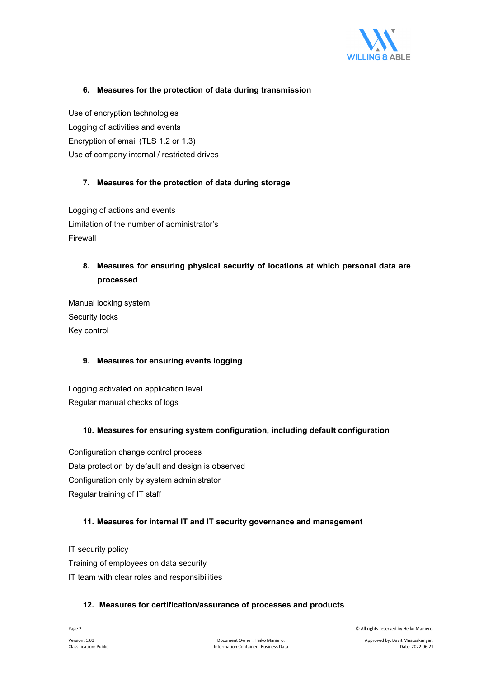

#### **6. Measures for the protection of data during transmission**

Use of encryption technologies Logging of activities and events Encryption of email (TLS 1.2 or 1.3) Use of company internal / restricted drives

#### **7. Measures for the protection of data during storage**

Logging of actions and events Limitation of the number of administrator's Firewall

# **8. Measures for ensuring physical security of locations at which personal data are processed**

Manual locking system Security locks Key control

## **9. Measures for ensuring events logging**

Logging activated on application level Regular manual checks of logs

#### **10. Measures for ensuring system configuration, including default configuration**

Configuration change control process Data protection by default and design is observed Configuration only by system administrator Regular training of IT staff

#### **11. Measures for internal IT and IT security governance and management**

IT security policy Training of employees on data security IT team with clear roles and responsibilities

#### **12. Measures for certification/assurance of processes and products**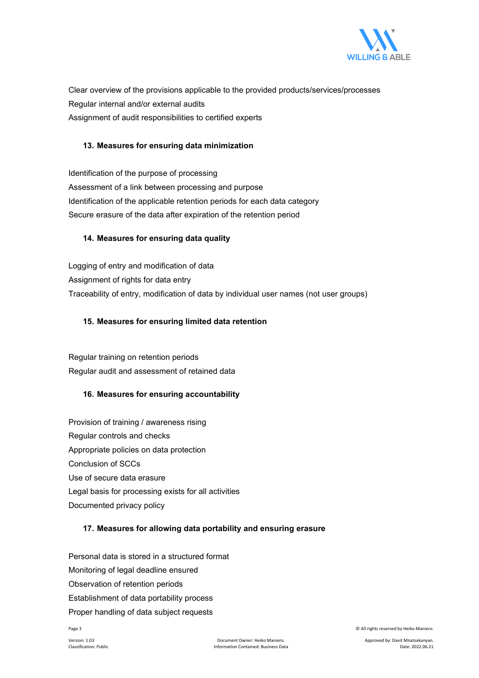

Clear overview of the provisions applicable to the provided products/services/processes Regular internal and/or external audits Assignment of audit responsibilities to certified experts

#### **13. Measures for ensuring data minimization**

Identification of the purpose of processing Assessment of a link between processing and purpose Identification of the applicable retention periods for each data category Secure erasure of the data after expiration of the retention period

#### **14. Measures for ensuring data quality**

Logging of entry and modification of data Assignment of rights for data entry Traceability of entry, modification of data by individual user names (not user groups)

#### **15. Measures for ensuring limited data retention**

Regular training on retention periods Regular audit and assessment of retained data

#### **16. Measures for ensuring accountability**

Provision of training / awareness rising Regular controls and checks Appropriate policies on data protection Conclusion of SCCs Use of secure data erasure Legal basis for processing exists for all activities Documented privacy policy

## **17. Measures for allowing data portability and ensuring erasure**

Personal data is stored in a structured format Monitoring of legal deadline ensured Observation of retention periods Establishment of data portability process Proper handling of data subject requests

Page 3 © All rights reserved by Heiko Maniero.